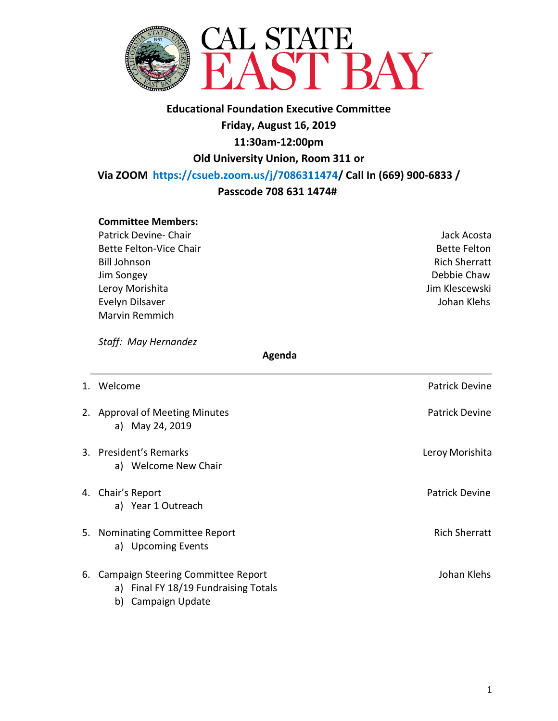

### **Educational Foundation Executive Committee Friday, August 16, 2019 11:30am-12:00pm**

#### **Old University Union, Room 311 or**

# **Via ZOOM [https://csueb.zoom.us/j/7086311474/](https://csueb.zoom.us/j/7086311474%20/) Call In (669) 900-6833 /**

### **Passcode 708 631 1474#**

#### **Committee Members:**

- Patrick Devine- Chair **Jack Acosta Jack Acosta Jack Acosta** Bette Felton-Vice Chair **Bette Felton** Bette Felton Bill Johnson Rich Sherratt Jim Songey Debbie Chaw Leroy Morishita **Jim Klescewski** Evelyn Dilsaver **Guide Communist Communist Communist Communist Communist Communist Communist Communist Communist Communist Communist Communist Communist Communist Communist Communist Communist Communist Communist Communist** Marvin Remmich
	-

*Staff: May Hernandez* 

 **Agenda**

| $1_{\cdot}$ | Welcome                                                                                          | <b>Patrick Devine</b> |
|-------------|--------------------------------------------------------------------------------------------------|-----------------------|
|             | 2. Approval of Meeting Minutes<br>a) May 24, 2019                                                | Patrick Devine        |
|             | 3. President's Remarks<br>a) Welcome New Chair                                                   | Leroy Morishita       |
|             | 4. Chair's Report<br>a) Year 1 Outreach                                                          | <b>Patrick Devine</b> |
|             | 5. Nominating Committee Report<br>a) Upcoming Events                                             | <b>Rich Sherratt</b>  |
| 6.          | Campaign Steering Committee Report<br>a) Final FY 18/19 Fundraising Totals<br>b) Campaign Update | Johan Klehs           |